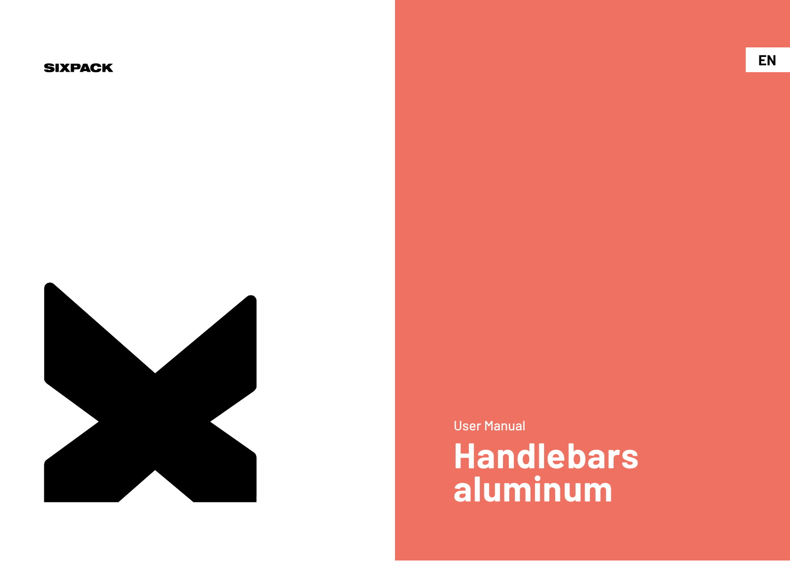#### **SIXPACK**



User Manual

**Handlebars aluminum**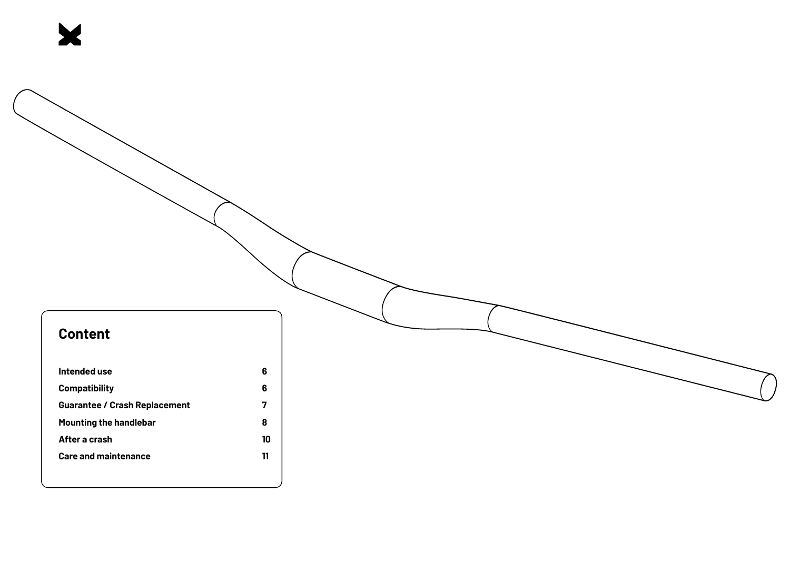# **Content**

X

| Intended use                         | 6  |
|--------------------------------------|----|
| <b>Compatibility</b>                 | 6  |
| <b>Guarantee / Crash Replacement</b> |    |
| Mounting the handlebar               | 8  |
| After a crash                        | 10 |
| <b>Care and maintenance</b>          | 11 |
|                                      |    |
|                                      |    |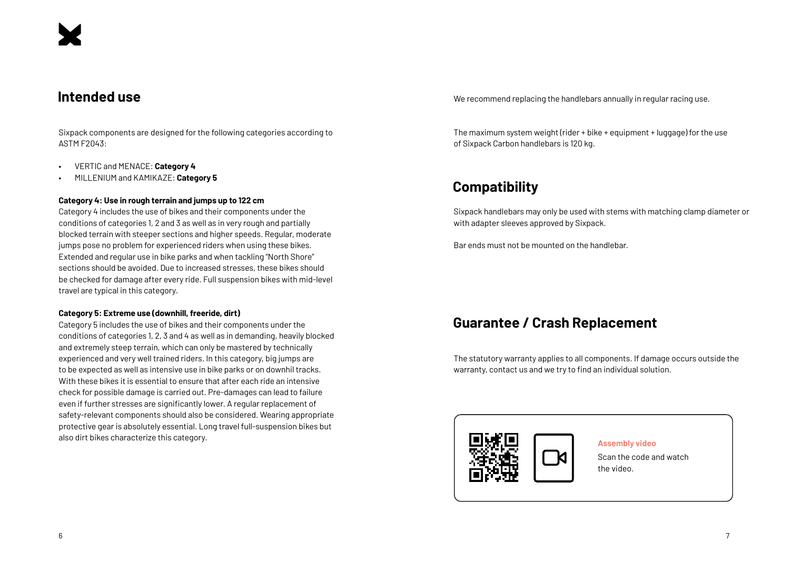## **Intended use**

Sixpack components are designed for the following categories according to ASTM F2043:

- VERTIC and MENACE: **Category 4**
- MILLENIUM and KAMIKAZE: **Category 5**

#### **Category 4: Use in rough terrain and jumps up to 122 cm**

Category 4 includes the use of bikes and their components under the conditions of categories 1, 2 and 3 as well as in very rough and partially blocked terrain with steeper sections and higher speeds. Regular, moderate jumps pose no problem for experienced riders when using these bikes. Extended and regular use in bike parks and when tackling "North Shore" sections should be avoided. Due to increased stresses, these bikes should be checked for damage after every ride. Full suspension bikes with mid-level travel are typical in this category.

#### **Category 5: Extreme use (downhill, freeride, dirt)**

Category 5 includes the use of bikes and their components under the conditions of categories 1, 2, 3 and 4 as well as in demanding, heavily blocked and extremely steep terrain, which can only be mastered by technically experienced and very well trained riders. In this category, big jumps are to be expected as well as intensive use in bike parks or on downhil tracks. With these bikes it is essential to ensure that after each ride an intensive check for possible damage is carried out. Pre-damages can lead to failure even if further stresses are significantly lower. A regular replacement of safety-relevant components should also be considered. Wearing appropriate protective gear is absolutely essential. Long travel full-suspension bikes but also dirt bikes characterize this category.

We recommend replacing the handlebars annually in regular racing use.

The maximum system weight (rider + bike + equipment + luggage) for the use of Sixpack Carbon handlebars is 120 kg.

# **Compatibility**

Sixpack handlebars may only be used with stems with matching clamp diameter or with adapter sleeves approved by Sixpack.

Bar ends must not be mounted on the handlebar.

# **Guarantee / Crash Replacement**

The statutory warranty applies to all components. If damage occurs outside the warranty, contact us and we try to find an individual solution.



**Assembly video**

Scan the code and watch the video.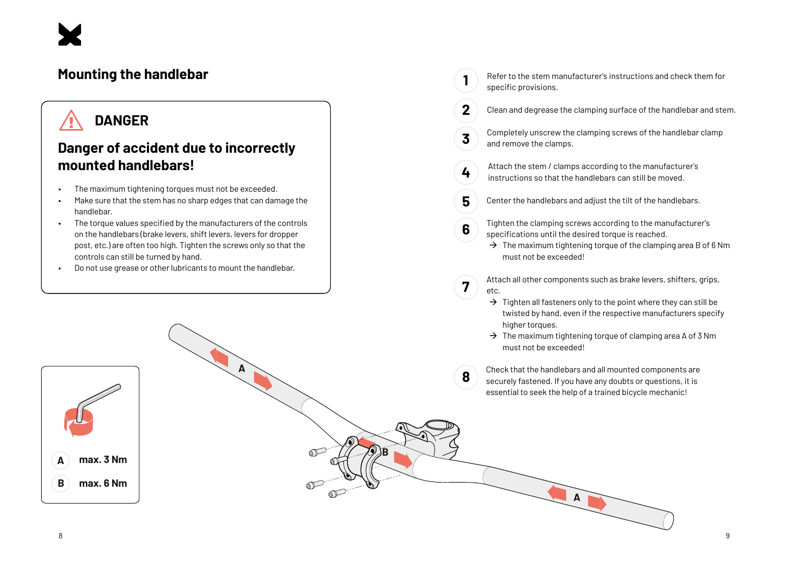

# **Mounting the handlebar**

# **DANGER**

# **Danger of accident due to incorrectly mounted handlebars!**

- The maximum tightening torques must not be exceeded.
- Make sure that the stem has no sharp edges that can damage the handlebar.
- The torque values specified by the manufacturers of the controls on the handlebars (brake levers, shift levers, levers for dropper post, etc.) are often too high. Tighten the screws only so that the controls can still be turned by hand.

**A**

**A**

**max. 3 Nm**

**max. 6 Nm**

**B**

**B**

• Do not use grease or other lubricants to mount the handlebar.

Refer to the stem manufacturer's instructions and check them for specific provisions.

**1**

**2**

**3**

**4**

**6**

**7**

**A**

- Clean and degrease the clamping surface of the handlebar and stem.
- Completely unscrew the clamping screws of the handlebar clamp and remove the clamps.
- Attach the stem / clamps according to the manufacturer's instructions so that the handlebars can still be moved.
- **5** Center the handlebars and adjust the tilt of the handlebars.
	- Tighten the clamping screws according to the manufacturer's specifications until the desired torque is reached.
	- $\rightarrow$  The maximum tightening torque of the clamping area B of 6 Nm must not be exceeded!
	- Attach all other components such as brake levers, shifters, grips, etc.
		- $\rightarrow$  Tighten all fasteners only to the point where they can still be twisted by hand, even if the respective manufacturers specify higher torques.
		- $\rightarrow$  The maximum tightening torque of clamping area A of 3 Nm must not be exceeded!
- **8** Check that the handlebars and all mounted components are securely fastened. If you have any doubts or questions, it is essential to seek the help of a trained bicycle mechanic!

**A**